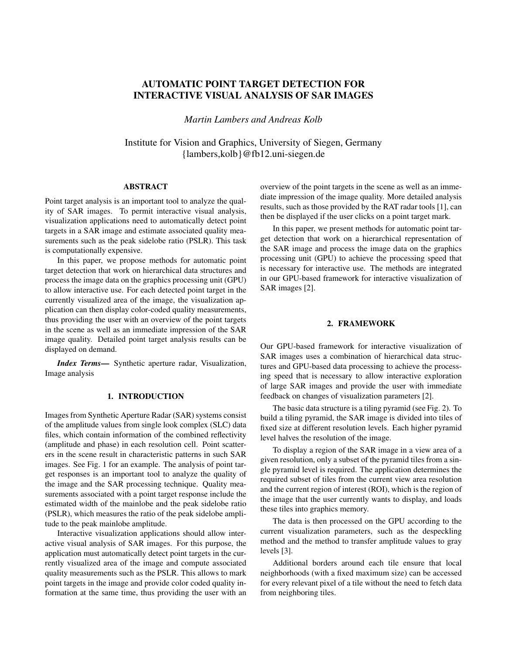# AUTOMATIC POINT TARGET DETECTION FOR INTERACTIVE VISUAL ANALYSIS OF SAR IMAGES

*Martin Lambers and Andreas Kolb*

Institute for Vision and Graphics, University of Siegen, Germany {lambers,kolb}@fb12.uni-siegen.de

## ABSTRACT

Point target analysis is an important tool to analyze the quality of SAR images. To permit interactive visual analysis, visualization applications need to automatically detect point targets in a SAR image and estimate associated quality measurements such as the peak sidelobe ratio (PSLR). This task is computationally expensive.

In this paper, we propose methods for automatic point target detection that work on hierarchical data structures and process the image data on the graphics processing unit (GPU) to allow interactive use. For each detected point target in the currently visualized area of the image, the visualization application can then display color-coded quality measurements, thus providing the user with an overview of the point targets in the scene as well as an immediate impression of the SAR image quality. Detailed point target analysis results can be displayed on demand.

*Index Terms*— Synthetic aperture radar, Visualization, Image analysis

### 1. INTRODUCTION

Images from Synthetic Aperture Radar (SAR) systems consist of the amplitude values from single look complex (SLC) data files, which contain information of the combined reflectivity (amplitude and phase) in each resolution cell. Point scatterers in the scene result in characteristic patterns in such SAR images. See Fig. 1 for an example. The analysis of point target responses is an important tool to analyze the quality of the image and the SAR processing technique. Quality measurements associated with a point target response include the estimated width of the mainlobe and the peak sidelobe ratio (PSLR), which measures the ratio of the peak sidelobe amplitude to the peak mainlobe amplitude.

Interactive visualization applications should allow interactive visual analysis of SAR images. For this purpose, the application must automatically detect point targets in the currently visualized area of the image and compute associated quality measurements such as the PSLR. This allows to mark point targets in the image and provide color coded quality information at the same time, thus providing the user with an

overview of the point targets in the scene as well as an immediate impression of the image quality. More detailed analysis results, such as those provided by the RAT radar tools [1], can then be displayed if the user clicks on a point target mark.

In this paper, we present methods for automatic point target detection that work on a hierarchical representation of the SAR image and process the image data on the graphics processing unit (GPU) to achieve the processing speed that is necessary for interactive use. The methods are integrated in our GPU-based framework for interactive visualization of SAR images [2].

## 2. FRAMEWORK

Our GPU-based framework for interactive visualization of SAR images uses a combination of hierarchical data structures and GPU-based data processing to achieve the processing speed that is necessary to allow interactive exploration of large SAR images and provide the user with immediate feedback on changes of visualization parameters [2].

The basic data structure is a tiling pyramid (see Fig. 2). To build a tiling pyramid, the SAR image is divided into tiles of fixed size at different resolution levels. Each higher pyramid level halves the resolution of the image.

To display a region of the SAR image in a view area of a given resolution, only a subset of the pyramid tiles from a single pyramid level is required. The application determines the required subset of tiles from the current view area resolution and the current region of interest (ROI), which is the region of the image that the user currently wants to display, and loads these tiles into graphics memory.

The data is then processed on the GPU according to the current visualization parameters, such as the despeckling method and the method to transfer amplitude values to gray levels [3].

Additional borders around each tile ensure that local neighborhoods (with a fixed maximum size) can be accessed for every relevant pixel of a tile without the need to fetch data from neighboring tiles.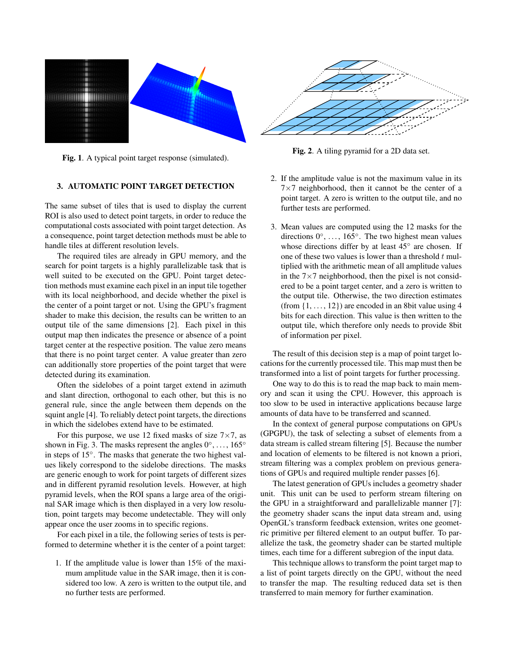

Fig. 1. A typical point target response (simulated).

# 3. AUTOMATIC POINT TARGET DETECTION

The same subset of tiles that is used to display the current ROI is also used to detect point targets, in order to reduce the computational costs associated with point target detection. As a consequence, point target detection methods must be able to handle tiles at different resolution levels.

The required tiles are already in GPU memory, and the search for point targets is a highly parallelizable task that is well suited to be executed on the GPU. Point target detection methods must examine each pixel in an input tile together with its local neighborhood, and decide whether the pixel is the center of a point target or not. Using the GPU's fragment shader to make this decision, the results can be written to an output tile of the same dimensions [2]. Each pixel in this output map then indicates the presence or absence of a point target center at the respective position. The value zero means that there is no point target center. A value greater than zero can additionally store properties of the point target that were detected during its examination.

Often the sidelobes of a point target extend in azimuth and slant direction, orthogonal to each other, but this is no general rule, since the angle between them depends on the squint angle [4]. To reliably detect point targets, the directions in which the sidelobes extend have to be estimated.

For this purpose, we use 12 fixed masks of size  $7\times7$ , as shown in Fig. 3. The masks represent the angles  $0^\circ, \ldots, 165^\circ$ in steps of 15◦ . The masks that generate the two highest values likely correspond to the sidelobe directions. The masks are generic enough to work for point targets of different sizes and in different pyramid resolution levels. However, at high pyramid levels, when the ROI spans a large area of the original SAR image which is then displayed in a very low resolution, point targets may become undetectable. They will only appear once the user zooms in to specific regions.

For each pixel in a tile, the following series of tests is performed to determine whether it is the center of a point target:

1. If the amplitude value is lower than 15% of the maximum amplitude value in the SAR image, then it is considered too low. A zero is written to the output tile, and no further tests are performed.



Fig. 2. A tiling pyramid for a 2D data set.

- 2. If the amplitude value is not the maximum value in its  $7\times7$  neighborhood, then it cannot be the center of a point target. A zero is written to the output tile, and no further tests are performed.
- 3. Mean values are computed using the 12 masks for the directions  $0^\circ$ , ..., 165°. The two highest mean values whose directions differ by at least 45° are chosen. If one of these two values is lower than a threshold  $t$  multiplied with the arithmetic mean of all amplitude values in the  $7\times7$  neighborhood, then the pixel is not considered to be a point target center, and a zero is written to the output tile. Otherwise, the two direction estimates (from  $\{1, \ldots, 12\}$ ) are encoded in an 8 bit value using 4 bits for each direction. This value is then written to the output tile, which therefore only needs to provide 8bit of information per pixel.

The result of this decision step is a map of point target locations for the currently processed tile. This map must then be transformed into a list of point targets for further processing.

One way to do this is to read the map back to main memory and scan it using the CPU. However, this approach is too slow to be used in interactive applications because large amounts of data have to be transferred and scanned.

In the context of general purpose computations on GPUs (GPGPU), the task of selecting a subset of elements from a data stream is called stream filtering [5]. Because the number and location of elements to be filtered is not known a priori, stream filtering was a complex problem on previous generations of GPUs and required multiple render passes [6].

The latest generation of GPUs includes a geometry shader unit. This unit can be used to perform stream filtering on the GPU in a straightforward and parallelizable manner [7]: the geometry shader scans the input data stream and, using OpenGL's transform feedback extension, writes one geometric primitive per filtered element to an output buffer. To parallelize the task, the geometry shader can be started multiple times, each time for a different subregion of the input data.

This technique allows to transform the point target map to a list of point targets directly on the GPU, without the need to transfer the map. The resulting reduced data set is then transferred to main memory for further examination.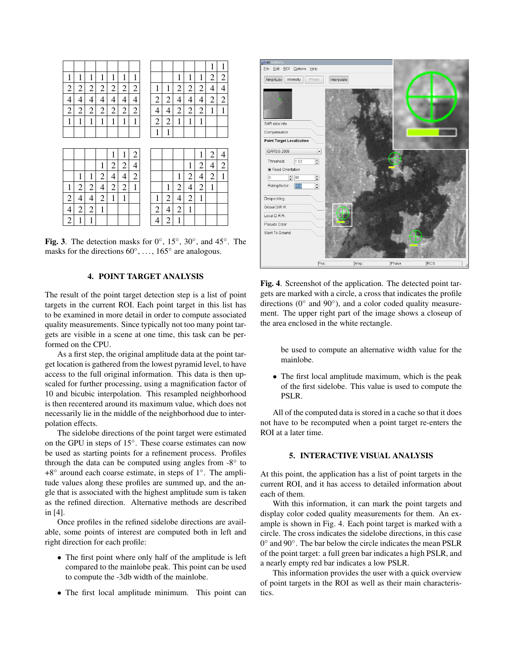|                |                |                |                |                |                |                |                |                |                |                |                          | 1              | 1              |
|----------------|----------------|----------------|----------------|----------------|----------------|----------------|----------------|----------------|----------------|----------------|--------------------------|----------------|----------------|
| 1              | 1              | 1              | 1              | 1              | $\mathbf{1}$   | $\mathbf 1$    |                |                | 1              | 1              | 1                        | 2              | $\overline{c}$ |
| $\overline{c}$ | $\overline{c}$ | $\overline{c}$ | $\overline{c}$ | $\overline{c}$ | $\overline{c}$ | $\overline{c}$ | 1              | 1              | $\overline{c}$ | $\overline{c}$ | $\overline{c}$           | 4              | $\overline{4}$ |
| $\overline{4}$ | 4              | 4              | 4              | 4              | $\overline{4}$ | $\overline{4}$ | $\overline{c}$ | $\overline{2}$ | 4              | 4              | $\overline{4}$           | $\overline{c}$ | $\overline{c}$ |
| $\overline{c}$ | $\overline{c}$ | $\overline{c}$ | $\overline{c}$ | $\overline{c}$ | $\overline{c}$ | $\overline{c}$ | 4              | $\overline{4}$ | $\overline{c}$ | $\overline{c}$ | $\overline{c}$           | $\mathbf 1$    | $\mathbf{1}$   |
| 1              | 1              | 1              | 1              | 1              | 1              | 1              | $\overline{c}$ | $\overline{c}$ | 1              | 1              | 1                        |                |                |
|                |                |                |                |                |                |                | $\mathbf{1}$   | $\mathbf{1}$   |                |                |                          |                |                |
|                |                |                |                |                |                |                |                |                |                |                |                          |                |                |
|                |                |                |                |                |                |                |                |                |                |                |                          |                |                |
|                |                |                |                | 1              | 1              | $\overline{c}$ |                |                |                |                | 1                        | 2              | $\overline{4}$ |
|                |                |                | $\mathbf{1}$   | $\overline{c}$ | $\overline{c}$ | $\overline{4}$ |                |                |                | 1              | $\overline{c}$           | 4              | $\overline{c}$ |
|                | 1              | 1              | $\overline{c}$ | $\overline{4}$ | $\overline{4}$ | $\overline{c}$ |                |                | 1              | $\overline{c}$ | $\overline{\mathcal{L}}$ | 2              | $\mathbf{1}$   |
| 1              | $\overline{c}$ | $\overline{c}$ | 4              | $\overline{c}$ | $\overline{c}$ | 1              |                | $\mathbf{1}$   | $\overline{c}$ | $\overline{4}$ | $\overline{c}$           | 1              |                |
| $\overline{c}$ | 4              | 4              | $\overline{c}$ | $\mathbf{1}$   | $\mathbf{1}$   |                | 1              | $\overline{c}$ | 4              | $\overline{c}$ | 1                        |                |                |
| 4              | $\overline{2}$ | $\overline{2}$ | $\mathbf{1}$   |                |                |                | $\overline{c}$ | $\overline{4}$ | $\overline{c}$ | 1              |                          |                |                |

Fig. 3. The detection masks for  $0^\circ$ ,  $15^\circ$ ,  $30^\circ$ , and  $45^\circ$ . The masks for the directions  $60^{\circ}, \ldots, 165^{\circ}$  are analogous.

## 4. POINT TARGET ANALYSIS

The result of the point target detection step is a list of point targets in the current ROI. Each point target in this list has to be examined in more detail in order to compute associated quality measurements. Since typically not too many point targets are visible in a scene at one time, this task can be performed on the CPU.

As a first step, the original amplitude data at the point target location is gathered from the lowest pyramid level, to have access to the full original information. This data is then upscaled for further processing, using a magnification factor of 10 and bicubic interpolation. This resampled neighborhood is then recentered around its maximum value, which does not necessarily lie in the middle of the neighborhood due to interpolation effects.

The sidelobe directions of the point target were estimated on the GPU in steps of 15◦ . These coarse estimates can now be used as starting points for a refinement process. Profiles through the data can be computed using angles from  $-8^\circ$  to +8° around each coarse estimate, in steps of 1°. The amplitude values along these profiles are summed up, and the angle that is associated with the highest amplitude sum is taken as the refined direction. Alternative methods are described in [4].

Once profiles in the refined sidelobe directions are available, some points of interest are computed both in left and right direction for each profile:

- The first point where only half of the amplitude is left compared to the mainlobe peak. This point can be used to compute the -3db width of the mainlobe.
- The first local amplitude minimum. This point can



Fig. 4. Screenshot of the application. The detected point targets are marked with a circle, a cross that indicates the profile directions ( $0^\circ$  and  $90^\circ$ ), and a color coded quality measurement. The upper right part of the image shows a closeup of the area enclosed in the white rectangle.

be used to compute an alternative width value for the mainlobe.

• The first local amplitude maximum, which is the peak of the first sidelobe. This value is used to compute the PSLR.

All of the computed data is stored in a cache so that it does not have to be recomputed when a point target re-enters the ROI at a later time.

### 5. INTERACTIVE VISUAL ANALYSIS

At this point, the application has a list of point targets in the current ROI, and it has access to detailed information about each of them.

With this information, it can mark the point targets and display color coded quality measurements for them. An example is shown in Fig. 4. Each point target is marked with a circle. The cross indicates the sidelobe directions, in this case 0° and 90°. The bar below the circle indicates the mean PSLR of the point target: a full green bar indicates a high PSLR, and a nearly empty red bar indicates a low PSLR.

This information provides the user with a quick overview of point targets in the ROI as well as their main characteristics.